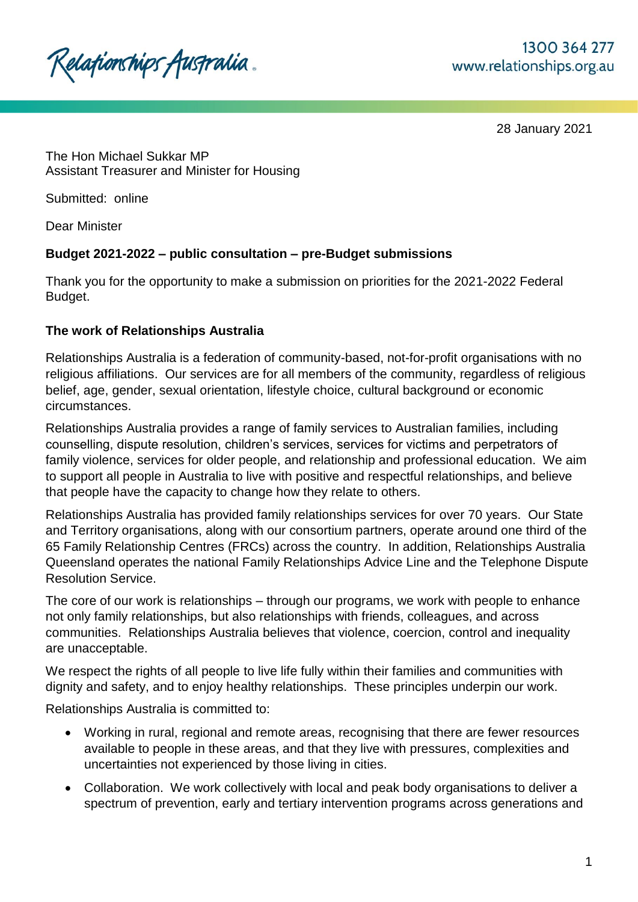

28 January 2021

The Hon Michael Sukkar MP Assistant Treasurer and Minister for Housing

Submitted: online

Dear Minister

# **Budget 2021-2022 – public consultation – pre-Budget submissions**

Thank you for the opportunity to make a submission on priorities for the 2021-2022 Federal Budget.

## **The work of Relationships Australia**

Relationships Australia is a federation of community-based, not-for-profit organisations with no religious affiliations. Our services are for all members of the community, regardless of religious belief, age, gender, sexual orientation, lifestyle choice, cultural background or economic circumstances.

Relationships Australia provides a range of family services to Australian families, including counselling, dispute resolution, children's services, services for victims and perpetrators of family violence, services for older people, and relationship and professional education. We aim to support all people in Australia to live with positive and respectful relationships, and believe that people have the capacity to change how they relate to others.

Relationships Australia has provided family relationships services for over 70 years. Our State and Territory organisations, along with our consortium partners, operate around one third of the 65 Family Relationship Centres (FRCs) across the country. In addition, Relationships Australia Queensland operates the national Family Relationships Advice Line and the Telephone Dispute Resolution Service.

The core of our work is relationships – through our programs, we work with people to enhance not only family relationships, but also relationships with friends, colleagues, and across communities. Relationships Australia believes that violence, coercion, control and inequality are unacceptable.

We respect the rights of all people to live life fully within their families and communities with dignity and safety, and to enjoy healthy relationships. These principles underpin our work.

Relationships Australia is committed to:

- Working in rural, regional and remote areas, recognising that there are fewer resources available to people in these areas, and that they live with pressures, complexities and uncertainties not experienced by those living in cities.
- Collaboration. We work collectively with local and peak body organisations to deliver a spectrum of prevention, early and tertiary intervention programs across generations and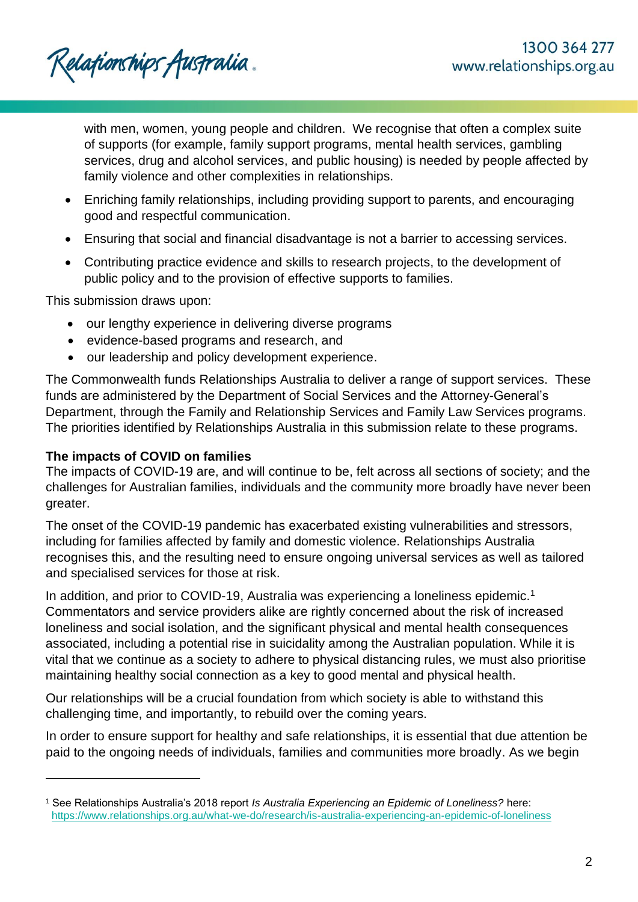Relationships Australia.

with men, women, young people and children. We recognise that often a complex suite of supports (for example, family support programs, mental health services, gambling services, drug and alcohol services, and public housing) is needed by people affected by family violence and other complexities in relationships.

- Enriching family relationships, including providing support to parents, and encouraging good and respectful communication.
- Ensuring that social and financial disadvantage is not a barrier to accessing services.
- Contributing practice evidence and skills to research projects, to the development of public policy and to the provision of effective supports to families.

This submission draws upon:

- our lengthy experience in delivering diverse programs
- evidence-based programs and research, and
- our leadership and policy development experience.

The Commonwealth funds Relationships Australia to deliver a range of support services. These funds are administered by the Department of Social Services and the Attorney-General's Department, through the Family and Relationship Services and Family Law Services programs. The priorities identified by Relationships Australia in this submission relate to these programs.

#### **The impacts of COVID on families**

l

The impacts of COVID-19 are, and will continue to be, felt across all sections of society; and the challenges for Australian families, individuals and the community more broadly have never been greater.

The onset of the COVID-19 pandemic has exacerbated existing vulnerabilities and stressors, including for families affected by family and domestic violence. Relationships Australia recognises this, and the resulting need to ensure ongoing universal services as well as tailored and specialised services for those at risk.

In addition, and prior to COVID-19. Australia was experiencing a loneliness epidemic.<sup>1</sup> Commentators and service providers alike are rightly concerned about the risk of increased loneliness and social isolation, and the significant physical and mental health consequences associated, including a potential rise in suicidality among the Australian population. While it is vital that we continue as a society to adhere to physical distancing rules, we must also prioritise maintaining healthy social connection as a key to good mental and physical health.

Our relationships will be a crucial foundation from which society is able to withstand this challenging time, and importantly, to rebuild over the coming years.

In order to ensure support for healthy and safe relationships, it is essential that due attention be paid to the ongoing needs of individuals, families and communities more broadly. As we begin

<sup>1</sup> See Relationships Australia's 2018 report *Is Australia Experiencing an Epidemic of Loneliness?* here: <https://www.relationships.org.au/what-we-do/research/is-australia-experiencing-an-epidemic-of-loneliness>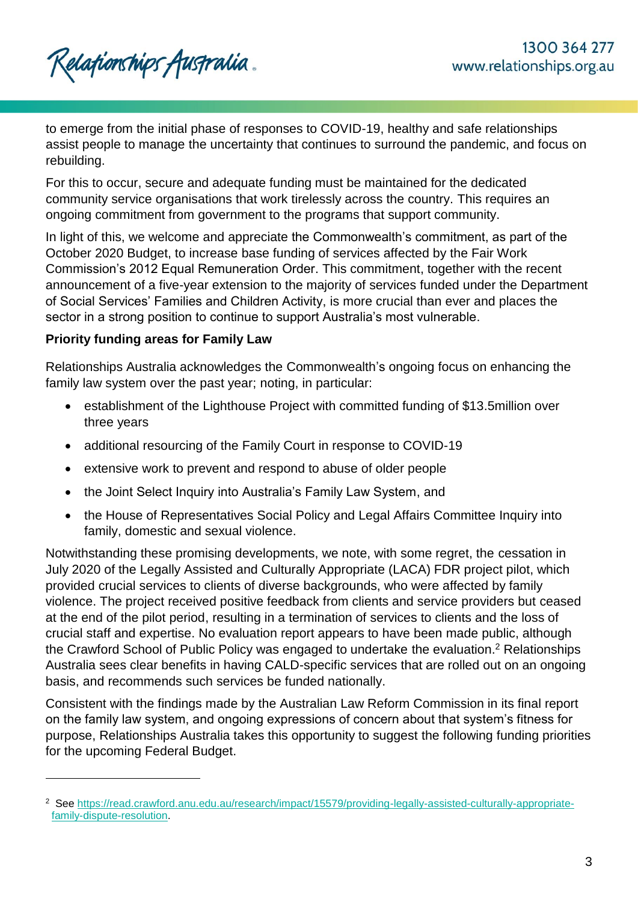to emerge from the initial phase of responses to COVID-19, healthy and safe relationships assist people to manage the uncertainty that continues to surround the pandemic, and focus on rebuilding.

For this to occur, secure and adequate funding must be maintained for the dedicated community service organisations that work tirelessly across the country. This requires an ongoing commitment from government to the programs that support community.

In light of this, we welcome and appreciate the Commonwealth's commitment, as part of the October 2020 Budget, to increase base funding of services affected by the Fair Work Commission's 2012 Equal Remuneration Order. This commitment, together with the recent announcement of a five-year extension to the majority of services funded under the Department of Social Services' Families and Children Activity, is more crucial than ever and places the sector in a strong position to continue to support Australia's most vulnerable.

## **Priority funding areas for Family Law**

l

Relationships Australia acknowledges the Commonwealth's ongoing focus on enhancing the family law system over the past year; noting, in particular:

- establishment of the Lighthouse Project with committed funding of \$13.5million over three years
- additional resourcing of the Family Court in response to COVID-19
- extensive work to prevent and respond to abuse of older people
- the Joint Select Inquiry into Australia's Family Law System, and
- the House of Representatives Social Policy and Legal Affairs Committee Inquiry into family, domestic and sexual violence.

Notwithstanding these promising developments, we note, with some regret, the cessation in July 2020 of the Legally Assisted and Culturally Appropriate (LACA) FDR project pilot, which provided crucial services to clients of diverse backgrounds, who were affected by family violence. The project received positive feedback from clients and service providers but ceased at the end of the pilot period, resulting in a termination of services to clients and the loss of crucial staff and expertise. No evaluation report appears to have been made public, although the Crawford School of Public Policy was engaged to undertake the evaluation.<sup>2</sup> Relationships Australia sees clear benefits in having CALD-specific services that are rolled out on an ongoing basis, and recommends such services be funded nationally.

Consistent with the findings made by the Australian Law Reform Commission in its final report on the family law system, and ongoing expressions of concern about that system's fitness for purpose, Relationships Australia takes this opportunity to suggest the following funding priorities for the upcoming Federal Budget.

<sup>2</sup> See [https://read.crawford.anu.edu.au/research/impact/15579/providing-legally-assisted-culturally-appropriate](https://read.crawford.anu.edu.au/research/impact/15579/providing-legally-assisted-culturally-appropriate-family-dispute-resolution)[family-dispute-resolution.](https://read.crawford.anu.edu.au/research/impact/15579/providing-legally-assisted-culturally-appropriate-family-dispute-resolution)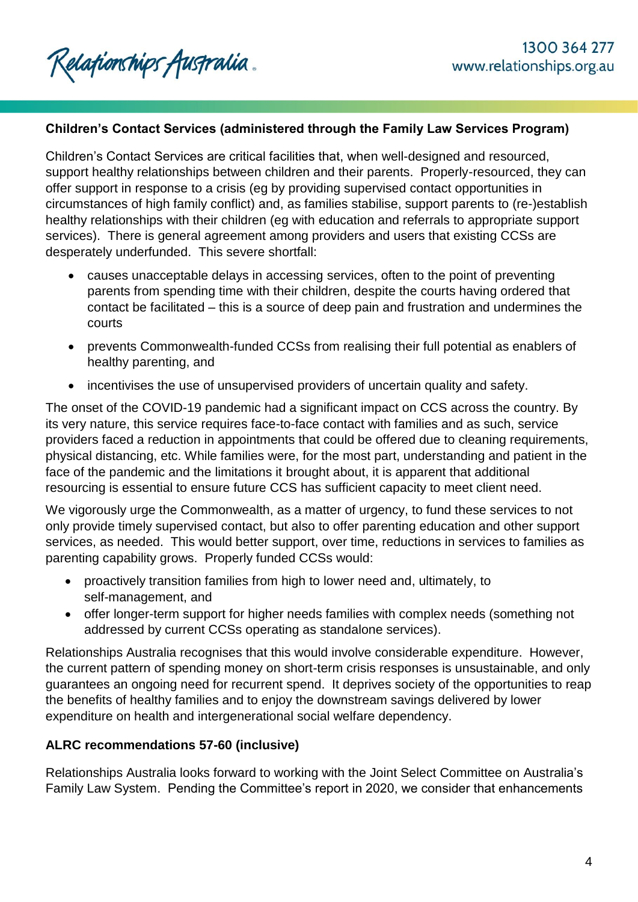### **Children's Contact Services (administered through the Family Law Services Program)**

Children's Contact Services are critical facilities that, when well-designed and resourced, support healthy relationships between children and their parents. Properly-resourced, they can offer support in response to a crisis (eg by providing supervised contact opportunities in circumstances of high family conflict) and, as families stabilise, support parents to (re-)establish healthy relationships with their children (eg with education and referrals to appropriate support services). There is general agreement among providers and users that existing CCSs are desperately underfunded. This severe shortfall:

- causes unacceptable delays in accessing services, often to the point of preventing parents from spending time with their children, despite the courts having ordered that contact be facilitated – this is a source of deep pain and frustration and undermines the courts
- prevents Commonwealth-funded CCSs from realising their full potential as enablers of healthy parenting, and
- incentivises the use of unsupervised providers of uncertain quality and safety.

The onset of the COVID-19 pandemic had a significant impact on CCS across the country. By its very nature, this service requires face-to-face contact with families and as such, service providers faced a reduction in appointments that could be offered due to cleaning requirements, physical distancing, etc. While families were, for the most part, understanding and patient in the face of the pandemic and the limitations it brought about, it is apparent that additional resourcing is essential to ensure future CCS has sufficient capacity to meet client need.

We vigorously urge the Commonwealth, as a matter of urgency, to fund these services to not only provide timely supervised contact, but also to offer parenting education and other support services, as needed. This would better support, over time, reductions in services to families as parenting capability grows. Properly funded CCSs would:

- proactively transition families from high to lower need and, ultimately, to self-management, and
- offer longer-term support for higher needs families with complex needs (something not addressed by current CCSs operating as standalone services).

Relationships Australia recognises that this would involve considerable expenditure. However, the current pattern of spending money on short-term crisis responses is unsustainable, and only guarantees an ongoing need for recurrent spend. It deprives society of the opportunities to reap the benefits of healthy families and to enjoy the downstream savings delivered by lower expenditure on health and intergenerational social welfare dependency.

## **ALRC recommendations 57-60 (inclusive)**

Relationships Australia looks forward to working with the Joint Select Committee on Australia's Family Law System. Pending the Committee's report in 2020, we consider that enhancements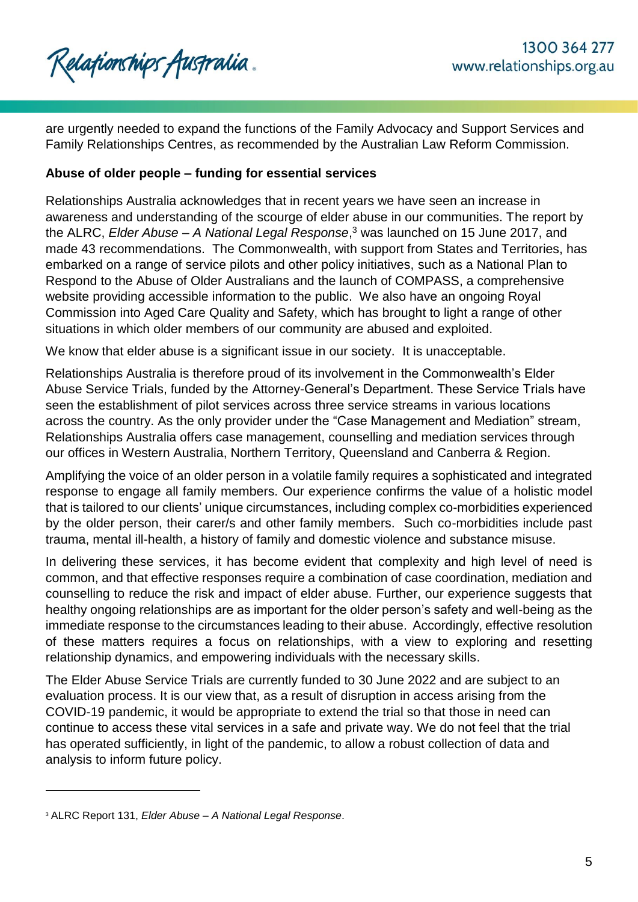

are urgently needed to expand the functions of the Family Advocacy and Support Services and Family Relationships Centres, as recommended by the Australian Law Reform Commission.

### **Abuse of older people – funding for essential services**

Relationships Australia acknowledges that in recent years we have seen an increase in awareness and understanding of the scourge of elder abuse in our communities. The report by the ALRC, *Elder Abuse – A National Legal Response*, <sup>3</sup> was launched on 15 June 2017, and made 43 recommendations. The Commonwealth, with support from States and Territories, has embarked on a range of service pilots and other policy initiatives, such as a National Plan to Respond to the Abuse of Older Australians and the launch of COMPASS, a comprehensive website providing accessible information to the public. We also have an ongoing Royal Commission into Aged Care Quality and Safety, which has brought to light a range of other situations in which older members of our community are abused and exploited.

We know that elder abuse is a significant issue in our society. It is unacceptable.

Relationships Australia is therefore proud of its involvement in the Commonwealth's Elder Abuse Service Trials, funded by the Attorney-General's Department. These Service Trials have seen the establishment of pilot services across three service streams in various locations across the country. As the only provider under the "Case Management and Mediation" stream, Relationships Australia offers case management, counselling and mediation services through our offices in Western Australia, Northern Territory, Queensland and Canberra & Region.

Amplifying the voice of an older person in a volatile family requires a sophisticated and integrated response to engage all family members. Our experience confirms the value of a holistic model that is tailored to our clients' unique circumstances, including complex co-morbidities experienced by the older person, their carer/s and other family members. Such co-morbidities include past trauma, mental ill-health, a history of family and domestic violence and substance misuse.

In delivering these services, it has become evident that complexity and high level of need is common, and that effective responses require a combination of case coordination, mediation and counselling to reduce the risk and impact of elder abuse. Further, our experience suggests that healthy ongoing relationships are as important for the older person's safety and well-being as the immediate response to the circumstances leading to their abuse. Accordingly, effective resolution of these matters requires a focus on relationships, with a view to exploring and resetting relationship dynamics, and empowering individuals with the necessary skills.

The Elder Abuse Service Trials are currently funded to 30 June 2022 and are subject to an evaluation process. It is our view that, as a result of disruption in access arising from the COVID-19 pandemic, it would be appropriate to extend the trial so that those in need can continue to access these vital services in a safe and private way. We do not feel that the trial has operated sufficiently, in light of the pandemic, to allow a robust collection of data and analysis to inform future policy.

l

<sup>3</sup> ALRC Report 131, *Elder Abuse – A National Legal Response*.